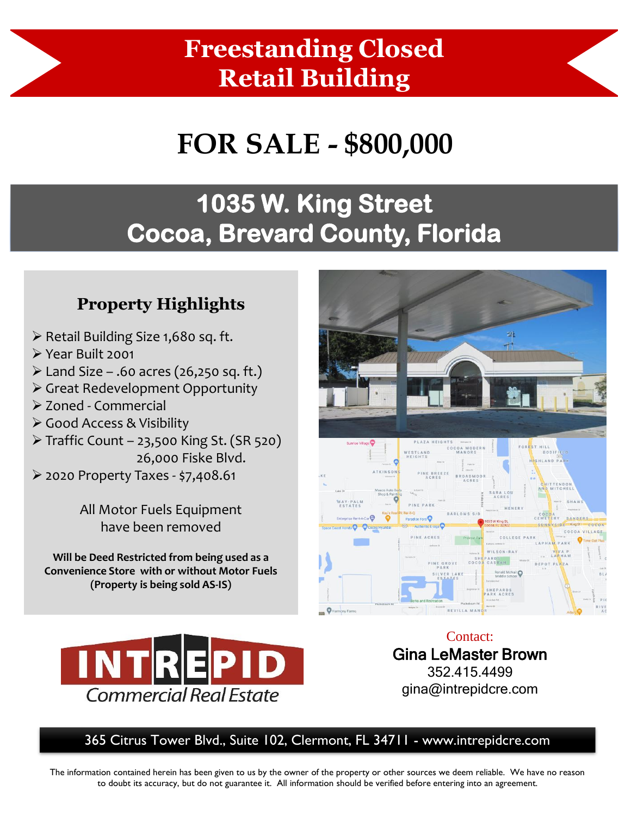### **Freestanding Closed Retail Building**

# **FOR SALE - \$800,000**

### **1035 W. King Street Cocoa, Brevard County, Florida**

### **Property Highlights**

- ➢ Retail Building Size 1,680 sq. ft.
- ➢ Year Built 2001
- $\triangleright$  Land Size .60 acres (26,250 sq. ft.)
- ➢ Great Redevelopment Opportunity
- ➢ Zoned Commercial
- ➢ Good Access & Visibility
- ➢ Traffic Count 23,500 King St. (SR 520) 26,000 Fiske Blvd.
- ➢ 2020 Property Taxes \$7,408.61

All Motor Fuels Equipment have been removed

**Will be Deed Restricted from being used as a Convenience Store with or without Motor Fuels (Property is being sold AS-IS)** 





Contact: Gina LeMaster Brown 352.415.4499 gina@intrepidcre.com

#### 365 Citrus Tower Blvd., Suite 102, Clermont, FL 34711 - www.intrepidcre.com

The information contained herein has been given to us by the owner of the property or other sources we deem reliable. We have no reason to doubt its accuracy, but do not guarantee it. All information should be verified before entering into an agreement.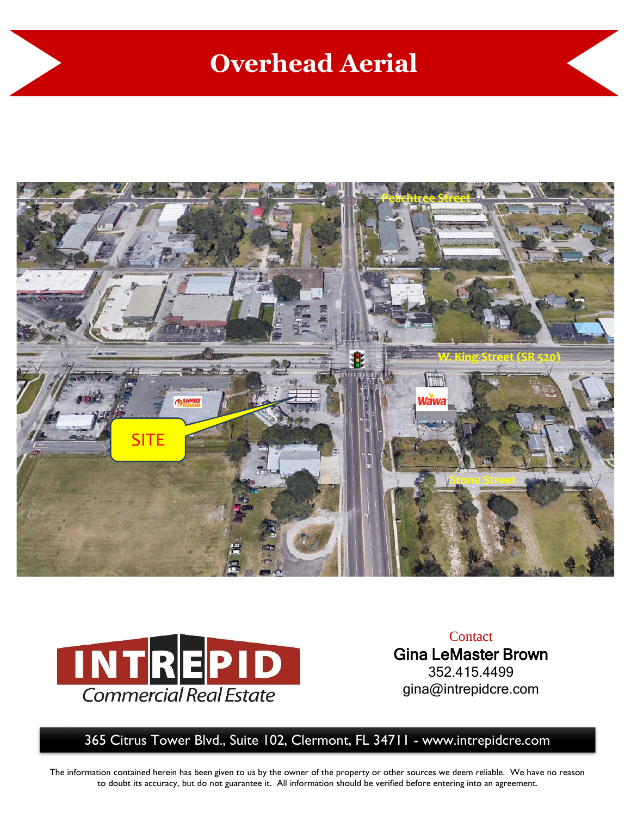### **Overhead Aerial**





**Contact** Gina LeMaster Brown 352.415.4499 gina@intrepidcre.com

365 Citrus Tower Blvd., Suite 102, Clermont, FL 34711 - www.intrepidcre.com

The information contained herein has been given to us by the owner of the property or other sources we deem reliable. We have no reason to doubt its accuracy, but do not guarantee it. All information should be verified before entering into an agreement.